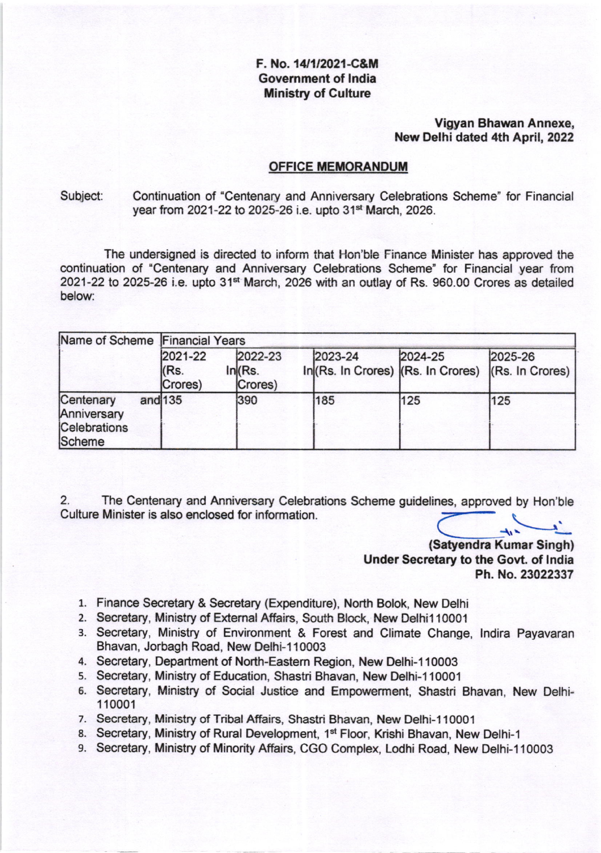# F. No. 14/1/2021-C&M Govemment of lndia **Ministry of Culture**

# Vigyan Bhawan Annexe, New Delhi dated 4th April, 2022

### OFFICE MEMORANDUM

### Subject: Continuation of 'Centenary and Anniversary Celebrations Scheme" for Financial year from 2021-22 to 2025-26 i.e. upto 31<sup>st</sup> March, 2026.

The undersigned is direcied to inform that Hon'ble Finance Minister has approved the continuation of 'Centenary and Anniversary Celebrations Scheme' for Financial year from 2021-22 to 2025-26 i.e. upto 31<sup>st</sup> March, 2026 with an outlay of Rs. 960.00 Crores as detailed below:

| Name of Scheme Financial Years                     |                            |                               |         |         |                                                               |
|----------------------------------------------------|----------------------------|-------------------------------|---------|---------|---------------------------------------------------------------|
|                                                    | 2021-22<br>KRs.<br>Crores) | 2022-23<br>In (Rs.<br>Crores) | 2023-24 | 2024-25 | 2025-26<br>In (Rs. In Crores) (Rs. In Crores) (Rs. In Crores) |
| Centenary<br>Anniversary<br>Celebrations<br>Scheme | and $135$                  | 390                           | 185     | 125     | 125                                                           |

2. The Centenary and Anniversary Celebrations Scheme guidelines, approved by Hon'ble Culture Minister is also enclosed for information.

(Satyendra Kumar Singh) Under Secretary to the Govt. of lndia Ph. No.23022337

- 1. Finance Secretary & Secretary (Expenditure), North Bolok, New Delhi
- 2. Secretary, Ministry of External Affairs, South Block, New Delhi110001
- 3. Secretary, Ministry of Environment & Forest and Climate Change, lndira Payavaran Bhavan, Jorbagh Road, New Delhi-110003
- 4. Secretary, Department of North-Eastem Region, New Delhi-l 10003
- s. Secretary, Ministry of Education, Shastri Bhavan, New Delhi-1 <sup>10001</sup>
- 6. Secretary, Ministry of Social Justice and Empowerment, Shastri Bhavan, New Delhi-110001
- 7. Secretary, Ministry of Tribal Affairs, Shastri Bhavan, New Delhi-110001
- 8. Secretary, Ministry of Rural Development, 1<sup>st</sup> Floor, Krishi Bhavan, New Delhi-1
- 9. Secretary, Ministry of Minority Affairs, CGO Complex, Lodhi Road, New Delhi-110003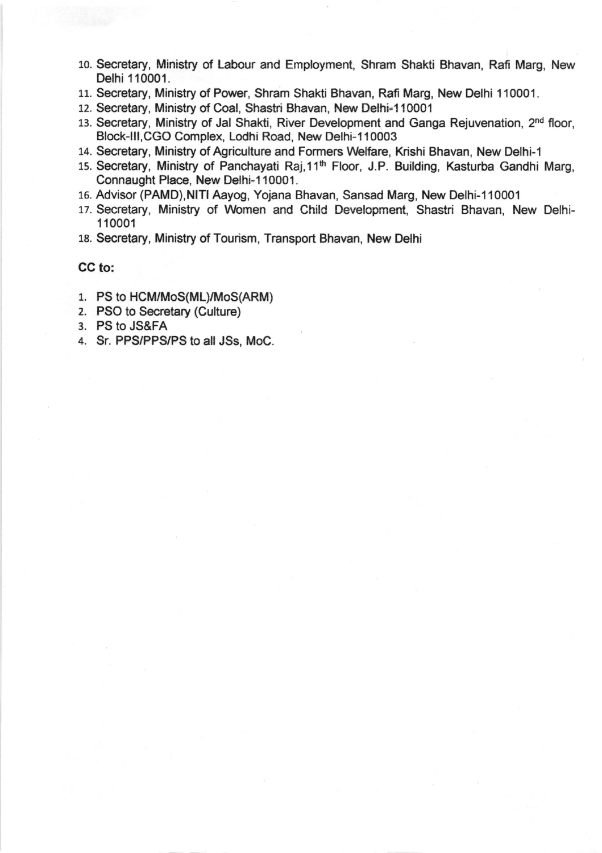- 10. Secretary, Ministry of Labour and Employment, Shram Shakti Bhavan, Rafi Marg, New Delhi 110001.
- 11. Secretary, Ministry of Power, Shram Shakti Bhavan, Rafi Marg, New Delhi 1 10001.
- 12. Secretary, Ministry of Coal, Shastri Bhavan, New Delhi-110001
- 13. Secretary, Ministry of Jal Shakti, River Development and Ganga Rejuvenation, 2<sup>nd</sup> floor, Block-III, CGO Complex, Lodhi Road, New Delhi-110003
- 14. Secretary, Ministry of Agriculture and Formers Welfare, Krishi Bhavan, New Delhi-1
- 15. Secretary, Ministry of Panchayati Raj,11<sup>th</sup> Floor, J.P. Building, Kasturba Gandhi Marg, Connaught Place, New Delhi-110001.
- 15. Advisor (PAMD),NlTl Aayog, Yojana Bhavan, Sansad Marg, New Delhi-110001
- 17. Secretary, Ministry of Women and Child Development, Shastri Bhavan, New Delhi-<sup>1</sup>10001
- 18. Secretary, Ministry of Tourism, Transport Bhavan, New Delhi

# CG to:

- 1. PS to HCM/MoS(ML)/MoS(ARM)
- 2. PSO to Secretary (Culture)
- 3. PS to JS&FA
- a. Sr. PPS/PPS/PS to all JSs, MoC.